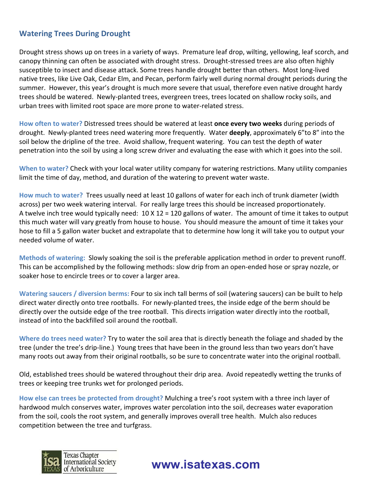## **Watering Trees During Drought**

Drought stress shows up on trees in a variety of ways. Premature leaf drop, wilting, yellowing, leaf scorch, and canopy thinning can often be associated with drought stress. Drought-stressed trees are also often highly susceptible to insect and disease attack. Some trees handle drought better than others. Most long-lived native trees, like Live Oak, Cedar Elm, and Pecan, perform fairly well during normal drought periods during the summer. However, this year's drought is much more severe that usual, therefore even native drought hardy trees should be watered. Newly-planted trees, evergreen trees, trees located on shallow rocky soils, and urban trees with limited root space are more prone to water-related stress.

**How often to water?** Distressed trees should be watered at least **once every two weeks** during periods of drought. Newly-planted trees need watering more frequently. Water **deeply**, approximately 6"to 8" into the soil below the dripline of the tree. Avoid shallow, frequent watering. You can test the depth of water penetration into the soil by using a long screw driver and evaluating the ease with which it goes into the soil.

**When to water?** Check with your local water utility company for watering restrictions. Many utility companies limit the time of day, method, and duration of the watering to prevent water waste.

**How much to water?**Trees usually need at least 10 gallons of water for each inch of trunk diameter (width across) per two week watering interval. For really large trees this should be increased proportionately. A twelve inch tree would typically need:  $10 \times 12 = 120$  gallons of water. The amount of time it takes to output this much water will vary greatly from house to house. You should measure the amount of time it takes your hose to fill a 5 gallon water bucket and extrapolate that to determine how long it will take you to output your needed volume of water.

**Methods of watering:**Slowly soaking the soil is the preferable application method in order to prevent runoff. This can be accomplished by the following methods: slow drip from an open-ended hose or spray nozzle, or soaker hose to encircle trees or to cover a larger area.

**Watering saucers / diversion berms:** Four to six inch tall berms of soil (watering saucers) can be built to help direct water directly onto tree rootballs. For newly-planted trees, the inside edge of the berm should be directly over the outside edge of the tree rootball. This directs irrigation water directly into the rootball, instead of into the backfilled soil around the rootball.

**Where do trees need water?** Try to water the soil area that is directly beneath the foliage and shaded by the tree (under the tree's drip-line.) Young trees that have been in the ground less than two years don't have many roots out away from their original rootballs, so be sure to concentrate water into the original rootball.

Old, established trees should be watered throughout their drip area. Avoid repeatedly wetting the trunks of trees or keeping tree trunks wet for prolonged periods.

**How else can trees be protected from drought?** Mulching a tree's root system with a three inch layer of hardwood mulch conserves water, improves water percolation into the soil, decreases water evaporation from the soil, cools the root system, and generally improves overall tree health. Mulch also reduces competition between the tree and turfgrass.



## **www.isatexas.com**